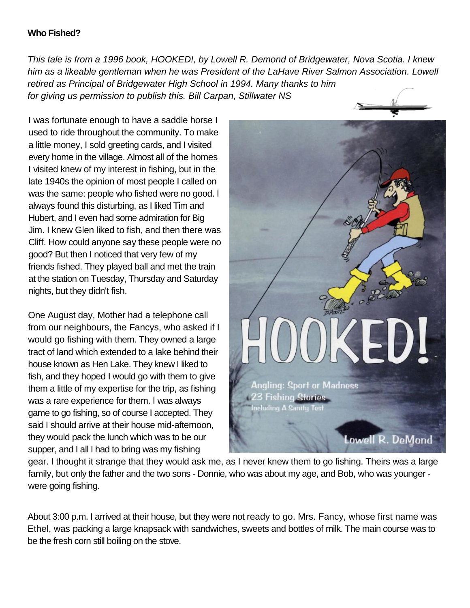## **Who Fished?**

*This tale is from a 1996 book, HOOKED!, by Lowell R. Demond of Bridgewater, Nova Scotia. I knew him as a likeable gentleman when he was President of the LaHave River Salmon Association. Lowell retired as Principal of Bridgewater High School in 1994. Many thanks to him for giving us permission to publish this. Bill Carpan, Stillwater NS*

I was fortunate enough to have a saddle horse I used to ride throughout the community. To make a little money, I sold greeting cards, and I visited every home in the village. Almost all of the homes I visited knew of my interest in fishing, but in the late 1940s the opinion of most people I called on was the same: people who fished were no good. I always found this disturbing, as I liked Tim and Hubert, and I even had some admiration for Big Jim. I knew Glen liked to fish, and then there was Cliff. How could anyone say these people were no good? But then I noticed that very few of my friends fished. They played ball and met the train at the station on Tuesday, Thursday and Saturday nights, but they didn't fish.

One August day, Mother had a telephone call from our neighbours, the Fancys, who asked if I would go fishing with them. They owned a large tract of land which extended to a lake behind their house known as Hen Lake. They knew I liked to fish, and they hoped I would go with them to give them a little of my expertise for the trip, as fishing was a rare experience for them. I was always game to go fishing, so of course I accepted. They said I should arrive at their house mid-afternoon, they would pack the lunch which was to be our supper, and I all I had to bring was my fishing



gear. I thought it strange that they would ask me, as I never knew them to go fishing. Theirs was a large family, but only the father and the two sons - Donnie, who was about my age, and Bob, who was younger were going fishing.

About 3:00 p.m. I arrived at their house, but they were not ready to go. Mrs. Fancy, whose first name was Ethel, was packing a large knapsack with sandwiches, sweets and bottles of milk. The main course was to be the fresh corn still boiling on the stove.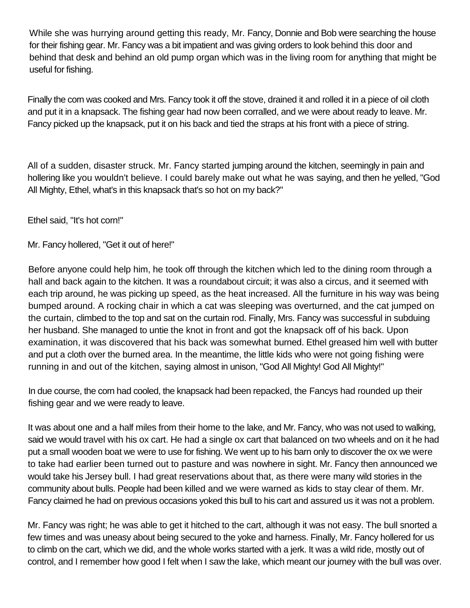While she was hurrying around getting this ready, Mr. Fancy, Donnie and Bob were searching the house for their fishing gear. Mr. Fancy was a bit impatient and was giving orders to look behind this door and behind that desk and behind an old pump organ which was in the living room for anything that might be useful for fishing.

Finally the corn was cooked and Mrs. Fancy took it off the stove, drained it and rolled it in a piece of oil cloth and put it in a knapsack. The fishing gear had now been corralled, and we were about ready to leave. Mr. Fancy picked up the knapsack, put it on his back and tied the straps at his front with a piece of string.

All of a sudden, disaster struck. Mr. Fancy started jumping around the kitchen, seemingly in pain and hollering like you wouldn't believe. I could barely make out what he was saying, and then he yelled, "God All Mighty, Ethel, what's in this knapsack that's so hot on my back?"

Ethel said, "It's hot corn!"

Mr. Fancy hollered, "Get it out of here!"

Before anyone could help him, he took off through the kitchen which led to the dining room through a hall and back again to the kitchen. It was a roundabout circuit; it was also a circus, and it seemed with each trip around, he was picking up speed, as the heat increased. All the furniture in his way was being bumped around. A rocking chair in which a cat was sleeping was overturned, and the cat jumped on the curtain, climbed to the top and sat on the curtain rod. Finally, Mrs. Fancy was successful in subduing her husband. She managed to untie the knot in front and got the knapsack off of his back. Upon examination, it was discovered that his back was somewhat burned. Ethel greased him well with butter and put a cloth over the burned area. In the meantime, the little kids who were not going fishing were running in and out of the kitchen, saying almost in unison, "God All Mighty! God All Mighty!"

In due course, the corn had cooled, the knapsack had been repacked, the Fancys had rounded up their fishing gear and we were ready to leave.

It was about one and a half miles from their home to the lake, and Mr. Fancy, who was not used to walking, said we would travel with his ox cart. He had a single ox cart that balanced on two wheels and on it he had put a small wooden boat we were to use for fishing. We went up to his barn only to discover the ox we were to take had earlier been turned out to pasture and was nowhere in sight. Mr. Fancy then announced we would take his Jersey bull. I had great reservations about that, as there were many wild stories in the community about bulls. People had been killed and we were warned as kids to stay clear of them. Mr. Fancy claimed he had on previous occasions yoked this bull to his cart and assured us it was not a problem.

Mr. Fancy was right; he was able to get it hitched to the cart, although it was not easy. The bull snorted a few times and was uneasy about being secured to the yoke and harness. Finally, Mr. Fancy hollered for us to climb on the cart, which we did, and the whole works started with a jerk. It was a wild ride, mostly out of control, and I remember how good I felt when I saw the lake, which meant our journey with the bull was over.